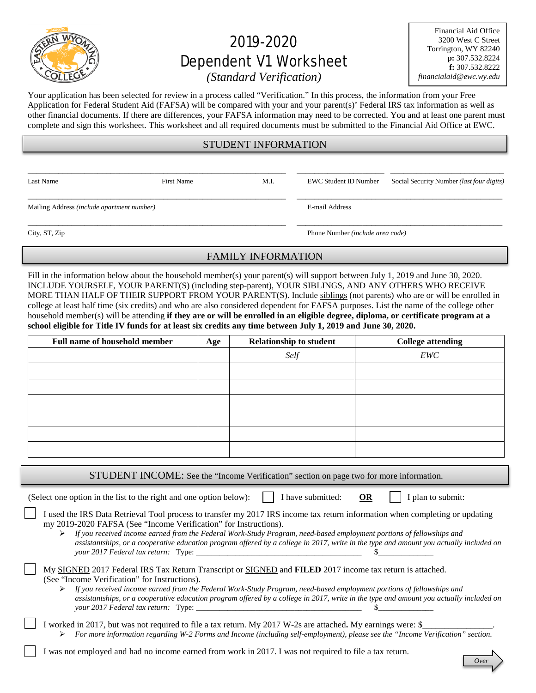

# 2019-2020 Dependent V1 Worksheet

Financial Aid Office 3200 West C Street Torrington, WY 82240 **p:** 307.532.8224 **f:** 307.532.8222 *financialaid@ewc.wy.edu*

# *(Standard Verification)*

Your application has been selected for review in a process called "Verification." In this process, the information from your Free Application for Federal Student Aid (FAFSA) will be compared with your and your parent(s)' Federal IRS tax information as well as other financial documents. If there are differences, your FAFSA information may need to be corrected. You and at least one parent must complete and sign this worksheet. This worksheet and all required documents must be submitted to the Financial Aid Office at EWC.

## STUDENT INFORMATION

\_\_\_\_\_\_\_\_\_\_\_\_\_\_\_\_\_\_\_\_\_\_\_\_\_\_\_\_\_\_\_\_\_\_\_\_\_\_\_\_\_\_\_\_\_\_\_\_\_\_\_\_\_\_\_\_\_\_\_ \_\_\_\_\_\_\_\_\_\_\_\_\_\_\_\_\_\_\_\_ \_\_\_\_\_\_\_\_\_\_\_\_\_\_\_\_\_\_\_\_\_\_\_\_\_\_ \_\_\_\_\_\_\_\_\_\_\_\_\_\_\_\_\_\_\_\_\_\_\_\_\_\_\_\_\_\_\_\_\_\_\_\_\_\_\_\_\_\_\_\_\_\_\_\_\_\_\_\_\_\_\_\_\_\_\_ \_\_\_\_\_\_\_\_\_\_\_\_\_\_\_\_\_\_\_\_\_\_\_\_\_\_\_\_\_\_\_\_\_\_\_\_\_\_\_\_\_\_\_\_\_\_\_

Mailing Address *(include apartment number)* E-mail Address

Last Name First Name First Name M.I. EWC Student ID Number Social Security Number *(last four digits)* 

City, ST, Zip Phone Number *(include area code)*

\_\_\_\_\_\_\_\_\_\_\_\_\_\_\_\_\_\_\_\_\_\_\_\_\_\_\_\_\_\_\_\_\_\_\_\_\_\_\_\_\_\_\_\_\_\_\_\_\_\_\_\_\_\_\_\_\_\_\_ \_\_\_\_\_\_\_\_\_\_\_\_\_\_\_\_\_\_\_\_\_\_\_\_\_\_\_\_\_\_\_\_\_\_\_\_\_\_\_\_\_\_\_\_\_\_\_

# FAMILY INFORMATION

Fill in the information below about the household member(s) your parent(s) will support between July 1, 2019 and June 30, 2020. INCLUDE YOURSELF, YOUR PARENT(S) (including step-parent), YOUR SIBLINGS, AND ANY OTHERS WHO RECEIVE MORE THAN HALF OF THEIR SUPPORT FROM YOUR PARENT(S). Include siblings (not parents) who are or will be enrolled in college at least half time (six credits) and who are also considered dependent for FAFSA purposes. List the name of the college other household member(s) will be attending **if they are or will be enrolled in an eligible degree, diploma, or certificate program at a school eligible for Title IV funds for at least six credits any time between July 1, 2019 and June 30, 2020.**

| <b>Full name of household member</b> | Age | <b>Relationship to student</b> | <b>College attending</b> |
|--------------------------------------|-----|--------------------------------|--------------------------|
|                                      |     | Self                           | EWC                      |
|                                      |     |                                |                          |
|                                      |     |                                |                          |
|                                      |     |                                |                          |
|                                      |     |                                |                          |
|                                      |     |                                |                          |
|                                      |     |                                |                          |

STUDENT INCOME: See the "Income Verification" section on page two for more information.

(Select one option in the list to the right and one option below):  $\|\cdot\|$  have submitted: **OR**  $\|\cdot\|$  plan to submit:

- I used the IRS Data Retrieval Tool process to transfer my 2017 IRS income tax return information when completing or updating my 2019-2020 FAFSA (See "Income Verification" for Instructions).
	- *If you received income earned from the Federal Work-Study Program, need-based employment portions of fellowships and assistantships, or a cooperative education program offered by a college in 2017, write in the type and amount you actually included on your 2017 Federal tax return:* Type: \_\_\_\_\_\_\_\_\_\_\_\_\_\_\_\_\_\_\_\_\_\_\_\_\_\_\_\_\_\_\_\_\_\_\_\_\_\_\_\_\_\_ \$\_\_\_\_\_\_\_\_\_\_\_\_\_\_
	- My SIGNED 2017 Federal IRS Tax Return Transcript or SIGNED and **FILED** 2017 income tax return is attached. (See "Income Verification" for Instructions).
		- *If you received income earned from the Federal Work-Study Program, need-based employment portions of fellowships and assistantships, or a cooperative education program offered by a college in 2017, write in the type and amount you actually included on your* 2017 Federal tax return: Type:
- I worked in 2017, but was not required to file a tax return. My 2017 W-2s are attached. My earnings were: \$ *For more information regarding W-2 Forms and Income (including self-employment), please see the "Income Verification" section.*
- I was not employed and had no income earned from work in 2017. I was not required to file a tax return.